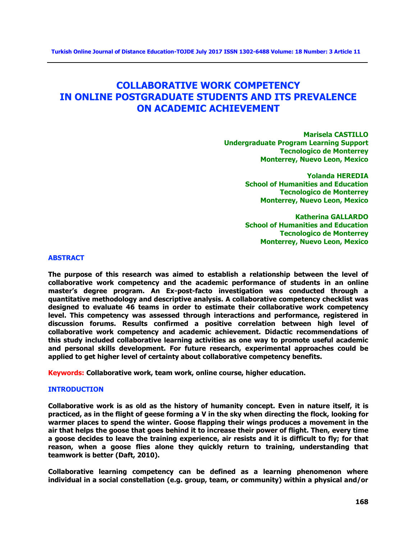# **COLLABORATIVE WORK COMPETENCY IN ONLINE POSTGRADUATE STUDENTS AND ITS PREVALENCE ON ACADEMIC ACHIEVEMENT**

**Marisela CASTILLO Undergraduate Program Learning Support Tecnologico de Monterrey Monterrey, Nuevo Leon, Mexico**

> **Yolanda HEREDIA School of Humanities and Education Tecnologico de Monterrey Monterrey, Nuevo Leon, Mexico**

> **Katherina GALLARDO School of Humanities and Education Tecnologico de Monterrey Monterrey, Nuevo Leon, Mexico**

# **ABSTRACT**

**The purpose of this research was aimed to establish a relationship between the level of collaborative work competency and the academic performance of students in an online master's degree program. An Ex-post-facto investigation was conducted through a quantitative methodology and descriptive analysis. A collaborative competency checklist was designed to evaluate 46 teams in order to estimate their collaborative work competency level. This competency was assessed through interactions and performance, registered in discussion forums. Results confirmed a positive correlation between high level of collaborative work competency and academic achievement. Didactic recommendations of this study included collaborative learning activities as one way to promote useful academic and personal skills development. For future research, experimental approaches could be applied to get higher level of certainty about collaborative competency benefits.**

**Keywords: Collaborative work, team work, online course, higher education.**

# **INTRODUCTION**

**Collaborative work is as old as the history of humanity concept. Even in nature itself, it is practiced, as in the flight of geese forming a V in the sky when directing the flock, looking for warmer places to spend the winter. Goose flapping their wings produces a movement in the air that helps the goose that goes behind it to increase their power of flight. Then, every time a goose decides to leave the training experience, air resists and it is difficult to fly; for that reason, when a goose flies alone they quickly return to training, understanding that teamwork is better (Daft, 2010).**

**Collaborative learning competency can be defined as a learning phenomenon where individual in a social constellation (e.g. group, team, or community) within a physical and/or**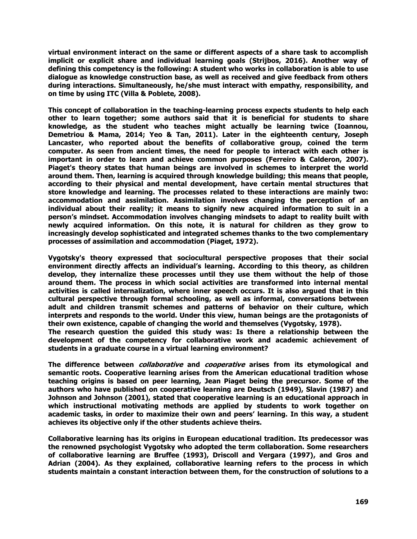**virtual environment interact on the same or different aspects of a share task to accomplish implicit or explicit share and individual learning goals (Strijbos, 2016). Another way of defining this competency is the following: A student who works in collaboration is able to use dialogue as knowledge construction base, as well as received and give feedback from others during interactions. Simultaneously, he/she must interact with empathy, responsibility, and on time by using ITC (Villa & Poblete, 2008).**

**This concept of collaboration in the teaching-learning process expects students to help each other to learn together; some authors said that it is beneficial for students to share knowledge, as the student who teaches might actually be learning twice (Ioannou, Demetriou & Mama, 2014; Yeo & Tan, 2011). Later in the eighteenth century, Joseph Lancaster, who reported about the benefits of collaborative group, coined the term computer. As seen from ancient times, the need for people to interact with each other is important in order to learn and achieve common purposes (Ferreiro & Calderon, 2007). Piaget's theory states that human beings are involved in schemes to interpret the world around them. Then, learning is acquired through knowledge building; this means that people, according to their physical and mental development, have certain mental structures that store knowledge and learning. The processes related to these interactions are mainly two: accommodation and assimilation. Assimilation involves changing the perception of an individual about their reality; it means to signify new acquired information to suit in a person's mindset. Accommodation involves changing mindsets to adapt to reality built with newly acquired information. On this note, it is natural for children as they grow to increasingly develop sophisticated and integrated schemes thanks to the two complementary processes of assimilation and accommodation (Piaget, 1972).**

**Vygotsky's theory expressed that sociocultural perspective proposes that their social environment directly affects an individual's learning. According to this theory, as children develop, they internalize these processes until they use them without the help of those around them. The process in which social activities are transformed into internal mental activities is called internalization, where inner speech occurs. It is also argued that in this cultural perspective through formal schooling, as well as informal, conversations between adult and children transmit schemes and patterns of behavior on their culture, which interprets and responds to the world. Under this view, human beings are the protagonists of their own existence, capable of changing the world and themselves (Vygotsky, 1978).**

**The research question the guided this study was: Is there a relationship between the development of the competency for collaborative work and academic achievement of students in a graduate course in a virtual learning environment?**

**The difference between collaborative and cooperative arises from its etymological and semantic roots. Cooperative learning arises from the American educational tradition whose teaching origins is based on peer learning, Jean Piaget being the precursor. Some of the authors who have published on cooperative learning are Deutsch (1949), Slavin (1987) and Johnson and Johnson (2001), stated that cooperative learning is an educational approach in which instructional motivating methods are applied by students to work together on academic tasks, in order to maximize their own and peers' learning. In this way, a student achieves its objective only if the other students achieve theirs.**

**Collaborative learning has its origins in European educational tradition. Its predecessor was the renowned psychologist Vygotsky who adopted the term collaboration. Some researchers of collaborative learning are Bruffee (1993), Driscoll and Vergara (1997), and Gros and Adrian (2004). As they explained, collaborative learning refers to the process in which students maintain a constant interaction between them, for the construction of solutions to a**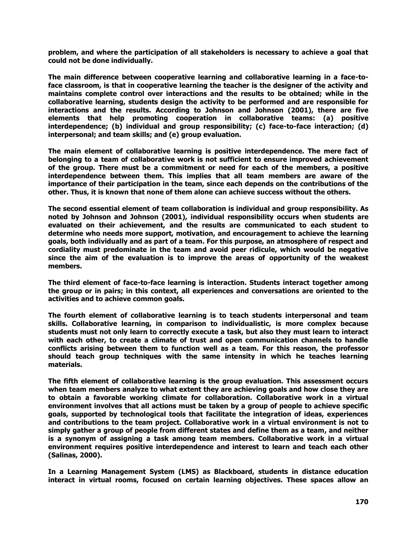**problem, and where the participation of all stakeholders is necessary to achieve a goal that could not be done individually.**

**The main difference between cooperative learning and collaborative learning in a face-toface classroom, is that in cooperative learning the teacher is the designer of the activity and maintains complete control over interactions and the results to be obtained; while in the collaborative learning, students design the activity to be performed and are responsible for interactions and the results. According to Johnson and Johnson (2001), there are five elements that help promoting cooperation in collaborative teams: (a) positive interdependence; (b) individual and group responsibility; (c) face-to-face interaction; (d) interpersonal; and team skills; and (e) group evaluation.**

**The main element of collaborative learning is positive interdependence. The mere fact of belonging to a team of collaborative work is not sufficient to ensure improved achievement of the group. There must be a commitment or need for each of the members, a positive interdependence between them. This implies that all team members are aware of the importance of their participation in the team, since each depends on the contributions of the other. Thus, it is known that none of them alone can achieve success without the others.**

**The second essential element of team collaboration is individual and group responsibility. As noted by Johnson and Johnson (2001), individual responsibility occurs when students are evaluated on their achievement, and the results are communicated to each student to determine who needs more support, motivation, and encouragement to achieve the learning goals, both individually and as part of a team. For this purpose, an atmosphere of respect and cordiality must predominate in the team and avoid peer ridicule, which would be negative since the aim of the evaluation is to improve the areas of opportunity of the weakest members.**

**The third element of face-to-face learning is interaction. Students interact together among the group or in pairs; in this context, all experiences and conversations are oriented to the activities and to achieve common goals.**

**The fourth element of collaborative learning is to teach students interpersonal and team skills. Collaborative learning, in comparison to individualistic, is more complex because students must not only learn to correctly execute a task, but also they must learn to interact with each other, to create a climate of trust and open communication channels to handle conflicts arising between them to function well as a team. For this reason, the professor should teach group techniques with the same intensity in which he teaches learning materials.**

**The fifth element of collaborative learning is the group evaluation. This assessment occurs when team members analyze to what extent they are achieving goals and how close they are to obtain a favorable working climate for collaboration. Collaborative work in a virtual environment involves that all actions must be taken by a group of people to achieve specific goals, supported by technological tools that facilitate the integration of ideas, experiences and contributions to the team project. Collaborative work in a virtual environment is not to simply gather a group of people from different states and define them as a team, and neither is a synonym of assigning a task among team members. Collaborative work in a virtual environment requires positive interdependence and interest to learn and teach each other (Salinas, 2000).**

**In a Learning Management System (LMS) as Blackboard, students in distance education interact in virtual rooms, focused on certain learning objectives. These spaces allow an**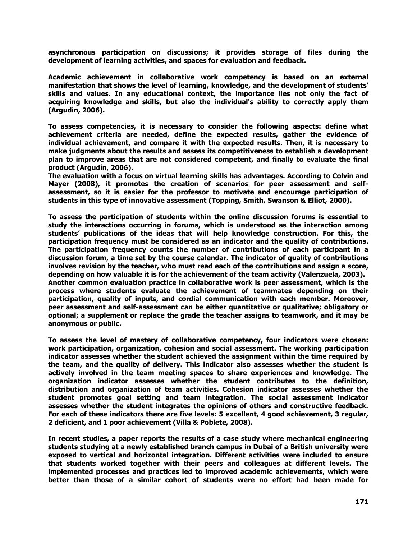**asynchronous participation on discussions; it provides storage of files during the development of learning activities, and spaces for evaluation and feedback.** 

**Academic achievement in collaborative work competency is based on an external manifestation that shows the level of learning, knowledge, and the development of students' skills and values. In any educational context, the importance lies not only the fact of acquiring knowledge and skills, but also the individual's ability to correctly apply them (Argudín, 2006).**

**To assess competencies, it is necessary to consider the following aspects: define what achievement criteria are needed, define the expected results, gather the evidence of individual achievement, and compare it with the expected results. Then, it is necessary to make judgments about the results and assess its competitiveness to establish a development plan to improve areas that are not considered competent, and finally to evaluate the final product (Argudín, 2006).**

**The evaluation with a focus on virtual learning skills has advantages. According to Colvin and Mayer (2008), it promotes the creation of scenarios for peer assessment and selfassessment, so it is easier for the professor to motivate and encourage participation of students in this type of innovative assessment (Topping, Smith, Swanson & Elliot, 2000).**

**To assess the participation of students within the online discussion forums is essential to study the interactions occurring in forums, which is understood as the interaction among students' publications of the ideas that will help knowledge construction. For this, the participation frequency must be considered as an indicator and the quality of contributions. The participation frequency counts the number of contributions of each participant in a discussion forum, a time set by the course calendar. The indicator of quality of contributions involves revision by the teacher, who must read each of the contributions and assign a score, depending on how valuable it is for the achievement of the team activity (Valenzuela, 2003). Another common evaluation practice in collaborative work is peer assessment, which is the process where students evaluate the achievement of teammates depending on their participation, quality of inputs, and cordial communication with each member. Moreover, peer assessment and self-assessment can be either quantitative or qualitative; obligatory or optional; a supplement or replace the grade the teacher assigns to teamwork, and it may be anonymous or public.**

**To assess the level of mastery of collaborative competency, four indicators were chosen: work participation, organization, cohesion and social assessment. The working participation indicator assesses whether the student achieved the assignment within the time required by the team, and the quality of delivery. This indicator also assesses whether the student is actively involved in the team meeting spaces to share experiences and knowledge. The organization indicator assesses whether the student contributes to the definition, distribution and organization of team activities. Cohesion indicator assesses whether the student promotes goal setting and team integration. The social assessment indicator assesses whether the student integrates the opinions of others and constructive feedback. For each of these indicators there are five levels: 5 excellent, 4 good achievement, 3 regular, 2 deficient, and 1 poor achievement (Villa & Poblete, 2008).**

**In recent studies, a paper reports the results of a case study where mechanical engineering students studying at a newly established branch campus in Dubai of a British university were exposed to vertical and horizontal integration. Different activities were included to ensure that students worked together with their peers and colleagues at different levels. The implemented processes and practices led to improved academic achievements, which were better than those of a similar cohort of students were no effort had been made for**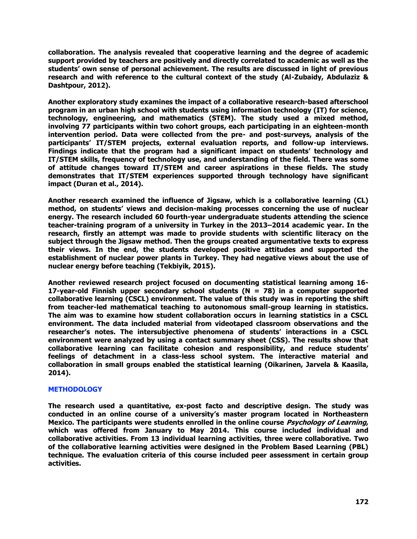**collaboration. The analysis revealed that cooperative learning and the degree of academic support provided by teachers are positively and directly correlated to academic as well as the students' own sense of personal achievement. The results are discussed in light of previous research and with reference to the cultural context of the study (Al-Zubaidy, Abdulaziz & Dashtpour, 2012).**

**Another exploratory study examines the impact of a collaborative research-based afterschool program in an urban high school with students using information technology (IT) for science, technology, engineering, and mathematics (STEM). The study used a mixed method, involving 77 participants within two cohort groups, each participating in an eighteen-month intervention period. Data were collected from the pre- and post-surveys, analysis of the participants' IT/STEM projects, external evaluation reports, and follow-up interviews. Findings indicate that the program had a significant impact on students' technology and IT/STEM skills, frequency of technology use, and understanding of the field. There was some of attitude changes toward IT/STEM and career aspirations in these fields. The study demonstrates that IT/STEM experiences supported through technology have significant impact (Duran et al., 2014).**

**Another research examined the influence of Jigsaw, which is a collaborative learning (CL) method, on students' views and decision-making processes concerning the use of nuclear energy. The research included 60 fourth-year undergraduate students attending the science teacher-training program of a university in Turkey in the 2013–2014 academic year. In the research, firstly an attempt was made to provide students with scientific literacy on the subject through the Jigsaw method. Then the groups created argumentative texts to express their views. In the end, the students developed positive attitudes and supported the establishment of nuclear power plants in Turkey. They had negative views about the use of nuclear energy before teaching (Tekbiyik, 2015).**

**Another reviewed research project focused on documenting statistical learning among 16- 17-year-old Finnish upper secondary school students (N = 78) in a computer supported collaborative learning (CSCL) environment. The value of this study was in reporting the shift from teacher-led mathematical teaching to autonomous small-group learning in statistics. The aim was to examine how student collaboration occurs in learning statistics in a CSCL environment. The data included material from videotaped classroom observations and the researcher's notes. The intersubjective phenomena of students' interactions in a CSCL environment were analyzed by using a contact summary sheet (CSS). The results show that collaborative learning can facilitate cohesion and responsibility, and reduce students' feelings of detachment in a class-less school system. The interactive material and collaboration in small groups enabled the statistical learning (Oikarinen, Jarvela & Kaasila, 2014).** 

# **METHODOLOGY**

**The research used a quantitative, ex-post facto and descriptive design. The study was conducted in an online course of a university's master program located in Northeastern Mexico. The participants were students enrolled in the online course Psychology of Learning, which was offered from January to May 2014. This course included individual and collaborative activities. From 13 individual learning activities, three were collaborative. Two of the collaborative learning activities were designed in the Problem Based Learning (PBL) technique. The evaluation criteria of this course included peer assessment in certain group activities.**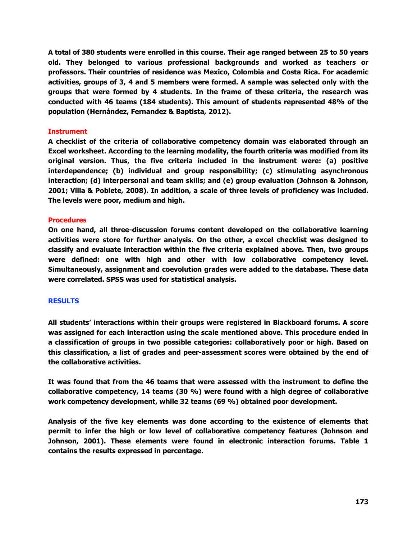**A total of 380 students were enrolled in this course. Their age ranged between 25 to 50 years old. They belonged to various professional backgrounds and worked as teachers or professors. Their countries of residence was Mexico, Colombia and Costa Rica. For academic activities, groups of 3, 4 and 5 members were formed. A sample was selected only with the groups that were formed by 4 students. In the frame of these criteria, the research was conducted with 46 teams (184 students). This amount of students represented 48% of the population (Hernández, Fernandez & Baptista, 2012).**

# **Instrument**

**A checklist of the criteria of collaborative competency domain was elaborated through an Excel worksheet. According to the learning modality, the fourth criteria was modified from its original version. Thus, the five criteria included in the instrument were: (a) positive interdependence; (b) individual and group responsibility; (c) stimulating asynchronous interaction; (d) interpersonal and team skills; and (e) group evaluation (Johnson & Johnson, 2001; Villa & Poblete, 2008). In addition, a scale of three levels of proficiency was included. The levels were poor, medium and high.**

# **Procedures**

**On one hand, all three-discussion forums content developed on the collaborative learning activities were store for further analysis. On the other, a excel checklist was designed to classify and evaluate interaction within the five criteria explained above. Then, two groups were defined: one with high and other with low collaborative competency level. Simultaneously, assignment and coevolution grades were added to the database. These data were correlated. SPSS was used for statistical analysis.**

# **RESULTS**

**All students' interactions within their groups were registered in Blackboard forums. A score was assigned for each interaction using the scale mentioned above. This procedure ended in a classification of groups in two possible categories: collaboratively poor or high. Based on this classification, a list of grades and peer-assessment scores were obtained by the end of the collaborative activities.**

**It was found that from the 46 teams that were assessed with the instrument to define the collaborative competency, 14 teams (30 %) were found with a high degree of collaborative work competency development, while 32 teams (69 %) obtained poor development.**

**Analysis of the five key elements was done according to the existence of elements that permit to infer the high or low level of collaborative competency features (Johnson and Johnson, 2001). These elements were found in electronic interaction forums. Table 1 contains the results expressed in percentage.**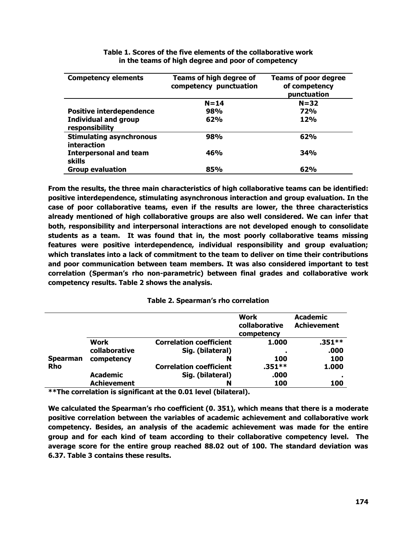| <b>Competency elements</b>                     | Teams of high degree of<br>competency punctuation | <b>Teams of poor degree</b><br>of competency<br>punctuation |
|------------------------------------------------|---------------------------------------------------|-------------------------------------------------------------|
|                                                | $N = 14$                                          | $N = 32$                                                    |
| <b>Positive interdependence</b>                | 98%                                               | <b>72%</b>                                                  |
| <b>Individual and group</b><br>responsibility  | 62%                                               | <b>12%</b>                                                  |
| <b>Stimulating asynchronous</b><br>interaction | 98%                                               | 62%                                                         |
| <b>Interpersonal and team</b><br><b>skills</b> | 46%                                               | 34%                                                         |
| <b>Group evaluation</b>                        | 85%                                               | 62%                                                         |

**Table 1. Scores of the five elements of the collaborative work in the teams of high degree and poor of competency**

**From the results, the three main characteristics of high collaborative teams can be identified: positive interdependence, stimulating asynchronous interaction and group evaluation. In the case of poor collaborative teams, even if the results are lower, the three characteristics already mentioned of high collaborative groups are also well considered. We can infer that both, responsibility and interpersonal interactions are not developed enough to consolidate students as a team. It was found that in, the most poorly collaborative teams missing features were positive interdependence, individual responsibility and group evaluation; which translates into a lack of commitment to the team to deliver on time their contributions and poor communication between team members. It was also considered important to test correlation (Sperman's rho non-parametric) between final grades and collaborative work competency results. Table 2 shows the analysis.**

|                 |                    |                                | <b>Work</b><br>collaborative<br>competency | <b>Academic</b><br><b>Achievement</b> |
|-----------------|--------------------|--------------------------------|--------------------------------------------|---------------------------------------|
|                 | Work               | <b>Correlation coefficient</b> | 1.000                                      | $.351**$                              |
|                 | collaborative      | Sig. (bilateral)               | л.                                         | .000                                  |
| <b>Spearman</b> | competency         | N                              | 100                                        | 100                                   |
| <b>Rho</b>      |                    | <b>Correlation coefficient</b> | $.351***$                                  | 1.000                                 |
|                 | <b>Academic</b>    | Sig. (bilateral)               | .000                                       |                                       |
|                 | <b>Achievement</b> | N                              | 100                                        | 100                                   |

**\*\*The correlation is significant at the 0.01 level (bilateral).**

**We calculated the Spearman's rho coefficient (0. 351), which means that there is a moderate positive correlation between the variables of academic achievement and collaborative work competency. Besides, an analysis of the academic achievement was made for the entire group and for each kind of team according to their collaborative competency level. The average score for the entire group reached 88.02 out of 100. The standard deviation was 6.37. Table 3 contains these results.**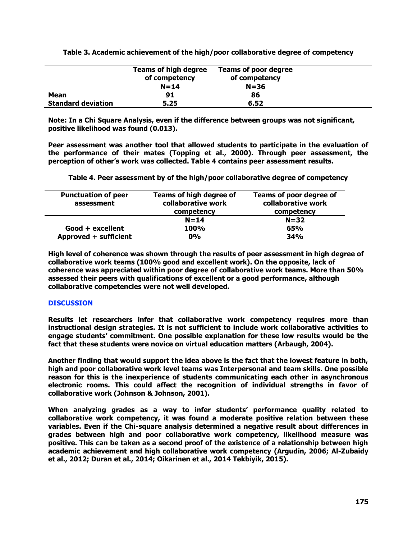**Table 3. Academic achievement of the high/poor collaborative degree of competency**

|                           | <b>Teams of high degree</b><br>of competency | <b>Teams of poor degree</b><br>of competency |  |
|---------------------------|----------------------------------------------|----------------------------------------------|--|
|                           | $N = 14$                                     | $N = 36$                                     |  |
| Mean                      | 91                                           | 86                                           |  |
| <b>Standard deviation</b> | 5.25                                         | 6.52                                         |  |

**Note: In a Chi Square Analysis, even if the difference between groups was not significant, positive likelihood was found (0.013).**

**Peer assessment was another tool that allowed students to participate in the evaluation of the performance of their mates (Topping et al., 2000). Through peer assessment, the perception of other's work was collected. Table 4 contains peer assessment results.**

**Table 4. Peer assessment by of the high/poor collaborative degree of competency**

| <b>Punctuation of peer</b><br>assessment | <b>Teams of high degree of</b><br>collaborative work<br>competency | Teams of poor degree of<br>collaborative work<br>competency |
|------------------------------------------|--------------------------------------------------------------------|-------------------------------------------------------------|
|                                          | $N = 14$                                                           | $N = 32$                                                    |
| Good + excellent                         | <b>100%</b>                                                        | 65%                                                         |
| Approved + sufficient                    | 0%                                                                 | 34%                                                         |

**High level of coherence was shown through the results of peer assessment in high degree of collaborative work teams (100% good and excellent work). On the opposite, lack of coherence was appreciated within poor degree of collaborative work teams. More than 50% assessed their peers with qualifications of excellent or a good performance, although collaborative competencies were not well developed.**

# **DISCUSSION**

**Results let researchers infer that collaborative work competency requires more than instructional design strategies. It is not sufficient to include work collaborative activities to engage students' commitment. One possible explanation for these low results would be the fact that these students were novice on virtual education matters (Arbaugh, 2004).**

**Another finding that would support the idea above is the fact that the lowest feature in both, high and poor collaborative work level teams was Interpersonal and team skills. One possible reason for this is the inexperience of students communicating each other in asynchronous electronic rooms. This could affect the recognition of individual strengths in favor of collaborative work (Johnson & Johnson, 2001).**

**When analyzing grades as a way to infer students' performance quality related to collaborative work competency, it was found a moderate positive relation between these variables. Even if the Chi-square analysis determined a negative result about differences in grades between high and poor collaborative work competency, likelihood measure was positive. This can be taken as a second proof of the existence of a relationship between high academic achievement and high collaborative work competency (Argudín, 2006; Al-Zubaidy et al., 2012; Duran et al., 2014; Oikarinen et al., 2014 Tekbiyik, 2015).**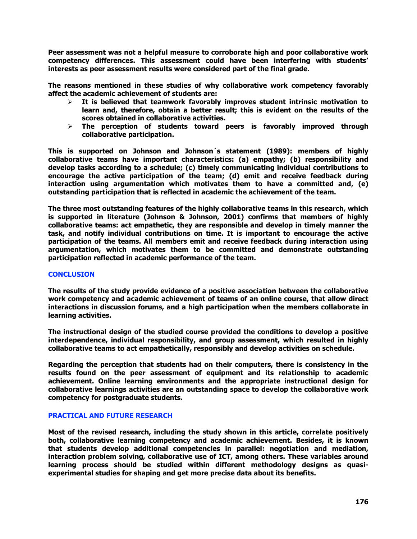**Peer assessment was not a helpful measure to corroborate high and poor collaborative work competency differences. This assessment could have been interfering with students' interests as peer assessment results were considered part of the final grade.** 

**The reasons mentioned in these studies of why collaborative work competency favorably affect the academic achievement of students are:**

- **It is believed that teamwork favorably improves student intrinsic motivation to learn and, therefore, obtain a better result; this is evident on the results of the scores obtained in collaborative activities.**
- **The perception of students toward peers is favorably improved through collaborative participation.**

**This is supported on Johnson and Johnson´s statement (1989): members of highly collaborative teams have important characteristics: (a) empathy; (b) responsibility and develop tasks according to a schedule; (c) timely communicating individual contributions to encourage the active participation of the team; (d) emit and receive feedback during interaction using argumentation which motivates them to have a committed and, (e) outstanding participation that is reflected in academic the achievement of the team.** 

**The three most outstanding features of the highly collaborative teams in this research, which is supported in literature (Johnson & Johnson, 2001) confirms that members of highly collaborative teams: act empathetic, they are responsible and develop in timely manner the task, and notify individual contributions on time. It is important to encourage the active participation of the teams. All members emit and receive feedback during interaction using argumentation, which motivates them to be committed and demonstrate outstanding participation reflected in academic performance of the team.** 

# **CONCLUSION**

**The results of the study provide evidence of a positive association between the collaborative work competency and academic achievement of teams of an online course, that allow direct interactions in discussion forums, and a high participation when the members collaborate in learning activities.**

**The instructional design of the studied course provided the conditions to develop a positive interdependence, individual responsibility, and group assessment, which resulted in highly collaborative teams to act empathetically, responsibly and develop activities on schedule.**

**Regarding the perception that students had on their computers, there is consistency in the results found on the peer assessment of equipment and its relationship to academic achievement. Online learning environments and the appropriate instructional design for collaborative learnings activities are an outstanding space to develop the collaborative work competency for postgraduate students.**

# **PRACTICAL AND FUTURE RESEARCH**

**Most of the revised research, including the study shown in this article, correlate positively both, collaborative learning competency and academic achievement. Besides, it is known that students develop additional competencies in parallel: negotiation and mediation, interaction problem solving, collaborative use of ICT, among others. These variables around learning process should be studied within different methodology designs as quasiexperimental studies for shaping and get more precise data about its benefits.**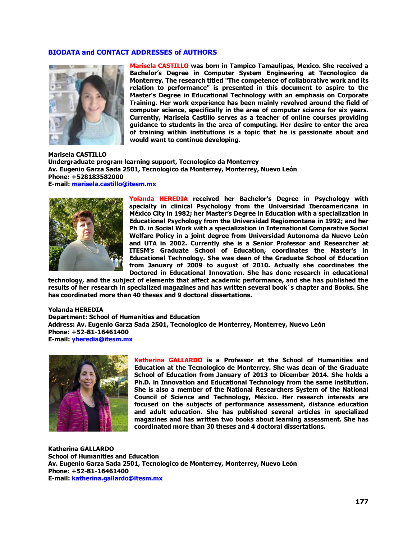### **BIODATA and CONTACT ADDRESSES of AUTHORS**



**Marisela CASTILLO was born in Tampico Tamaulipas, Mexico. She received a Bachelor's Degree in Computer System Engineering at Tecnologico da Monterrey. The research titled "The competence of collaborative work and its relation to performance" is presented in this document to aspire to the Master's Degree in Educational Technology with an emphasis on Corporate Training. Her work experience has been mainly revolved around the field of computer science, specifically in the area of computer science for six years. Currently, Marisela Castillo serves as a teacher of online courses providing guidance to students in the area of computing. Her desire to enter the area of training within institutions is a topic that he is passionate about and would want to continue developing.**

**Marisela CASTILLO Undergraduate program learning support, Tecnologico da Monterrey Av. Eugenio Garza Sada 2501, Tecnologico da Monterrey, Monterrey, Nuevo León Phone: +528183582000 E-mail: marisela.castillo@itesm.mx**



**Yolanda HEREDIA received her Bachelor's Degree in Psychology with specialty in clinical Psychology from the Universidad Iberoamericana in México City in 1982; her Master's Degree in Education with a specialization in Educational Psychology from the Universidad Regiomontana in 1992; and her Ph D. in Social Work with a specialization in International Comparative Social Welfare Policy in a joint degree from Universidad Autonoma da Nuevo León and UTA in 2002. Currently she is a Senior Professor and Researcher at ITESM's Graduate School of Education, coordinates the Master's in Educational Technology. She was dean of the Graduate School of Education from January of 2009 to august of 2010. Actually she coordinates the Doctored in Educational Innovation. She has done research in educational** 

**technology, and the subject of elements that affect academic performance, and she has published the results of her research in specialized magazines and has written several book´s chapter and Books. She has coordinated more than 40 theses and 9 doctoral dissertations.**

#### **Yolanda HEREDIA**

**Department: School of Humanities and Education Address: Av. Eugenio Garza Sada 2501, Tecnologico de Monterrey, Monterrey, Nuevo León Phone: +52-81-16461400 E-mail: [yheredia@itesm.mx](mailto:yheredia@itesm.mx)**



**Katherina GALLARDO is a Professor at the School of Humanities and Education at the Tecnologico de Monterrey. She was dean of the Graduate School of Education from January of 2013 to Dicember 2014. She holds a Ph.D. in Innovation and Educational Technology from the same institution. She is also a member of the National Researchers System of the National Council of Science and Technology, México. Her research interests are focused on the subjects of performance assessment, distance education and adult education. She has published several articles in specialized magazines and has written two books about learning assessment. She has coordinated more than 30 theses and 4 doctoral dissertations.**

**Katherina GALLARDO School of Humanities and Education Av. Eugenio Garza Sada 2501, Tecnologico de Monterrey, Monterrey, Nuevo León Phone: +52-81-16461400 E-mail: [katherina.gallardo@itesm.mx](mailto:katherina.gallardo@itesm.mx)**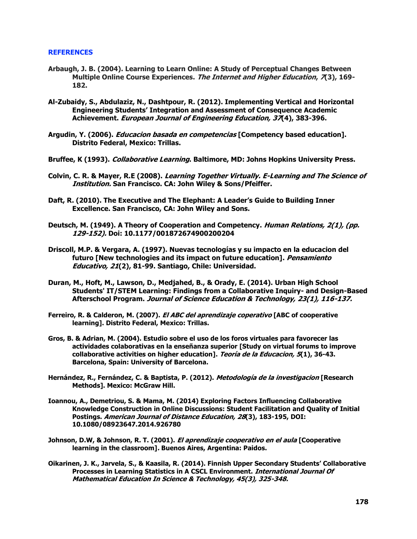#### **REFERENCES**

- **Arbaugh, J. B. (2004). Learning to Learn Online: A Study of Perceptual Changes Between Multiple Online Course Experiences. The Internet and Higher Education, 7(3), 169- 182.**
- **Al-Zubaidy, S., Abdulaziz, N., Dashtpour, R. (2012). Implementing Vertical and Horizontal Engineering Students' Integration and Assessment of Consequence Academic Achievement. European Journal of Engineering Education, 37(4), 383-396.**
- **Argudin, Y. (2006). Educacion basada en competencias [Competency based education]. Distrito Federal, Mexico: Trillas.**
- **Bruffee, K (1993). Collaborative Learning. Baltimore, MD: Johns Hopkins University Press.**
- **Colvin, C. R. & Mayer, R.E (2008). Learning Together Virtually. E-Learning and The Science of Institution. San Francisco. CA: John Wiley & Sons/Pfeiffer.**
- **Daft, R. (2010). The Executive and The Elephant: A Leader's Guide to Building Inner Excellence. San Francisco, CA: John Wiley and Sons.**
- **Deutsch, M. (1949). A Theory of Cooperation and Competency. Human Relations, 2(1), (pp. 129-152). Doi: 10.1177/001872674900200204**
- **Driscoll, M.P. & Vergara, A. (1997). Nuevas tecnologías y su impacto en la educacion del futuro [New technologies and its impact on future education]. Pensamiento Educativo, 21(2), 81-99. Santiago, Chile: Universidad.**
- **Duran, M., Hoft, M., Lawson, D., Medjahed, B., & Orady, E. (2014). Urban High School Students' IT/STEM Learning: Findings from a Collaborative Inquiry- and Design-Based Afterschool Program. Journal of Science Education & Technology, 23(1), 116-137.**
- **Ferreiro, R. & Calderon, M. (2007). El ABC del aprendizaje coperativo [ABC of cooperative learning]. Distrito Federal, Mexico: Trillas.**
- **Gros, B. & Adrian, M. (2004). Estudio sobre el uso de los foros virtuales para favorecer las actividades colaborativas en la enseñanza superior [Study on virtual forums to improve collaborative activities on higher education]. Teoría de la Educacion, 5(1), 36-43. Barcelona, Spain: University of Barcelona.**
- **Hernández, R., Fernández, C. & Baptista, P. (2012). Metodología de la investigacio<sup>n</sup> [Research Methods]. Mexico: McGraw Hill.**
- **Ioannou, A., Demetriou, S. & Mama, M. (2014) Exploring Factors Influencing Collaborative Knowledge Construction in Online Discussions: Student Facilitation and Quality of Initial Postings. American Journal of Distance Education, 28(3), 183-195, DOI: 10.1080/08923647.2014.926780**
- **Johnson, D.W, & Johnson, R. T. (2001). El aprendizaje cooperativo en el aula [Cooperative learning in the classroom]. Buenos Aires, Argentina: Paidos.**
- **Oikarinen, J. K., Jarvela, S., & Kaasila, R. (2014). Finnish Upper Secondary Students' Collaborative Processes in Learning Statistics in A CSCL Environment. International Journal Of Mathematical Education In Science & Technology, 45(3), 325-348.**